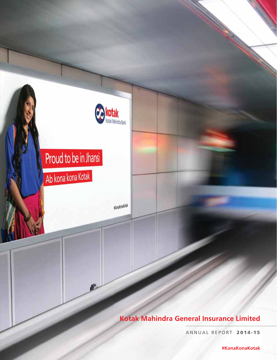

# **Kotak Mahindra General Insurance Limited**

ANNUAL REPORT **2014-15**

**#KonaKonaKotak**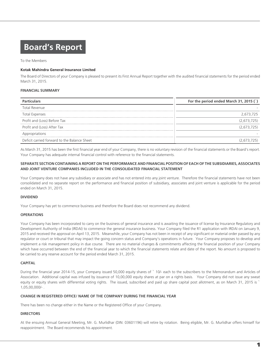# **Board's Report**

To the Members

#### **Kotak Mahindra General Insurance Limited**

The Board of Directors of your Company is pleased to present its First Annual Report together with the audited financial statements for the period ended March 31, 2015.

### **FINANCIAL SUMMARY**

| <b>Particulars</b>                           | For the period ended March 31, 2015 (`) |
|----------------------------------------------|-----------------------------------------|
| Total Revenue                                |                                         |
| Total Expenses                               | 2,673,725                               |
| Profit and (Loss) Before Tax                 | (2,673,725)                             |
| Profit and (Loss) After Tax                  | (2,673,725)                             |
| Appropriations                               |                                         |
| Deficit carried forward to the Balance Sheet |                                         |

As March 31, 2015 has been the first financial year end of your Company, there is no voluntary revision of the financial statements or the Board's report. Your Company has adequate internal financial control with reference to the financial statements.

#### **SEPARATE SECTION CONTAINING A REPORT ON THE PERFORMANCE AND FINANCIAL POSITION OF EACH OF THE SUBSIDIARIES, ASSOCIATES AND JOINT VENTURE COMPANIES INCLUDED IN THE CONSOLIDATED FINANCIAL STATEMENT**

Your Company does not have any subsidiary or associate and has not entered into any joint venture. Therefore the financial statements have not been consolidated and no separate report on the performance and financial position of subsidiary, associates and joint venture is applicable for the period ended on March 31, 2015.

#### **DIVIDEND**

Your Company has yet to commence business and therefore the Board does not recommend any dividend.

### **OPERATIONS**

Your Company has been incorporated to carry on the business of general insurance and is awaiting the issuance of license by Insurance Regulatory and Development Authority of India (IRDAI) to commence the general insurance business. Your Company filed the R1 application with IRDAI on January 9, 2015 and received the approval on April 13, 2015. Meanwhile, your Company has not been in receipt of any significant or material order passed by any regulator or court or tribunal that may impact the going concern status and Company's operations in future. Your Company proposes to develop and implement a risk management policy in due course. There are no material changes & commitments affecting the financial position of your Company which have occurred between the end of the financial year to which the financial statements relate and date of the report. No amount is proposed to be carried to any reserve account for the period ended March 31, 2015.

#### **CAPITAL**

During the financial year 2014-15, your Company issued 50,000 equity shares of ` 10/- each to the subscribers to the Memorandum and Articles of Association. Additional capital was infused by issuance of 10,00,000 equity shares at par on a rights basis. Your Company did not issue any sweat equity or equity shares with differential voting rights. The issued, subscribed and paid up share capital post allotment, as on March 31, 2015 is ` 1,05,00,000/- .

#### **CHANGE IN REGISTERED OFFICE/ NAME OF THE COMPANY DURING THE FINANCIAL YEAR**

There has been no change either in the Name or the Registered Office of your Company.

#### **DIRECTORS**

At the ensuing Annual General Meeting, Mr. G. Murlidhar (DIN: 03601196) will retire by rotation. Being eligible, Mr. G. Murlidhar offers himself for reappointment. The Board recommends his appointment.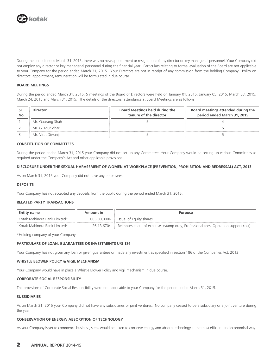During the period ended March 31, 2015, there was no new appointment or resignation of any director or key managerial personnel. Your Company did not employ any director or key managerial personnel during the financial year. Particulars relating to formal evaluation of the Board are not applicable to your Company for the period ended March 31, 2015. Your Directors are not in receipt of any commission from the holding Company. Policy on directors' appointment, remuneration will be formulated in due course.

#### **BOARD MEETINGS**

During the period ended March 31, 2015, 5 meetings of the Board of Directors were held on January 01, 2015, January 05, 2015, March 03, 2015, March 24, 2015 and March 31, 2015. The details of the directors' attendance at Board Meetings are as follows:

| No. | <b>Director</b>   | <b>Board Meetings held during the</b><br>tenure of the director | Board meetings attended during the<br>period ended March 31, 2015 |
|-----|-------------------|-----------------------------------------------------------------|-------------------------------------------------------------------|
|     | Mr. Gaurang Shah  |                                                                 |                                                                   |
|     | Mr. G. Murlidhar  |                                                                 |                                                                   |
|     | Mr. Virat Diwanji |                                                                 |                                                                   |

#### **CONSTITUTION OF COMMITTEES**

During the period ended March 31, 2015 your Company did not set up any Committee. Your Company would be setting up various Committees as required under the Company's Act and other applicable provisions.

#### **DISCLOSURE UNDER THE SEXUAL HARASSMENT OF WOMEN AT WORKPLACE (PREVENTION, PROHIBITION AND REDRESSAL) ACT, 2013**

As on March 31, 2015 your Company did not have any employees.

#### **DEPOSITS**

Your Company has not accepted any deposits from the public during the period ended March 31, 2015.

#### **RELATED PARTY TRANSACTIONS**

| <b>Entity name</b>           | Amount in       | <b>Purpose</b>                                                                    |
|------------------------------|-----------------|-----------------------------------------------------------------------------------|
| Kotak Mahindra Bank Limited* | 1,05,00,000/- ! | Issue of Equity shares                                                            |
| Kotak Mahindra Bank Limited* | 26.13.670/-     | Reimbursement of expenses (stamp duty, Professional fees, Operation support cost) |

\*Holding company of your Company

#### **PARTICULARS OF LOAN, GUARANTEES OR INVESTMENTS U/S 186**

Your Company has not given any loan or given guarantees or made any investment as specified in section 186 of the Companies Act, 2013.

#### **WHISTLE BLOWER POLICY & VIGIL MECHANISM**

Your Company would have in place a Whistle Blower Policy and vigil mechanism in due course.

#### **CORPORATE SOCIAL RESPONSIBILITY**

The provisions of Corporate Social Responsibility were not applicable to your Company for the period ended March 31, 2015.

#### **SUBSIDIARIES**

As on March 31, 2015 your Company did not have any subsidiaries or joint ventures. No company ceased to be a subsidiary or a joint venture during the year.

#### **CONSERVATION OF ENERGY/ ABSORPTION OF TECHNOLOGY**

As your Company is yet to commence business, steps would be taken to conserve energy and absorb technology in the most efficient and economical way.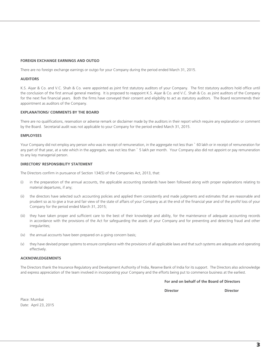#### **FOREIGN EXCHANGE EARNINGS AND OUTGO**

There are no foreign exchange earnings or outgo for your Company during the period ended March 31, 2015.

#### **AUDITORS**

K.S. Aiyar & Co. and V.C. Shah & Co. were appointed as joint first statutory auditors of your Company. The first statutory auditors hold office until the conclusion of the first annual general meeting. It is proposed to reappoint K.S. Aiyar & Co. and V.C. Shah & Co. as joint auditors of the Company for the next five financial years. Both the firms have conveyed their consent and eligibility to act as statutory auditors. The Board recommends their appointment as auditors of the Company.

#### **EXPLANATIONS/ COMMENTS BY THE BOARD**

There are no qualifications, reservation or adverse remark or disclaimer made by the auditors in their report which require any explanation or comment by the Board. Secretarial audit was not applicable to your Company for the period ended March 31, 2015.

#### **EMPLOYEES**

Your Company did not employ any person who was in receipt of remuneration, in the aggregate not less than ` 60 lakh or in receipt of remuneration for any part of that year, at a rate which in the aggregate, was not less than ` 5 lakh per month. Your Company also did not appoint or pay remuneration to any key managerial person.

#### **DIRECTORS' RESPONSIBILITY STATEMENT**

The Directors confirm in pursuance of Section 134(5) of the Companies Act, 2013, that:

- (i) in the preparation of the annual accounts, the applicable accounting standards have been followed along with proper explanations relating to material departures, if any;
- (ii) the directors have selected such accounting policies and applied them consistently and made judgments and estimates that are reasonable and prudent so as to give a true and fair view of the state of affairs of your Company as at the end of the financial year and of the profit/ loss of your Company for the period ended March 31, 2015;
- (iii) they have taken proper and sufficient care to the best of their knowledge and ability, for the maintenance of adequate accounting records in accordance with the provisions of the Act for safeguarding the assets of your Company and for preventing and detecting fraud and other irregularities:
- (iv) the annual accounts have been prepared on a going concern basis;
- (v) they have devised proper systems to ensure compliance with the provisions of all applicable laws and that such systems are adequate and operating effectively.

#### **ACKNOWLEDGEMENTS**

The Directors thank the Insurance Regulatory and Development Authority of India, Reserve Bank of India for its support. The Directors also acknowledge and express appreciation of the team involved in incorporating your Company and the efforts being put to commence business at the earliest.

#### **For and on behalf of the Board of Directors**

**Director Director**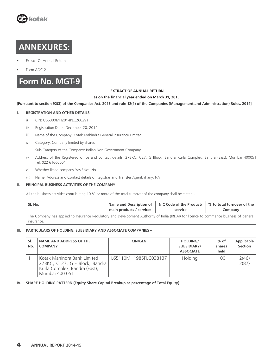

# **ANNEXURES:**

- Extract Of Annual Return
- Form AOC-2



#### **EXTRACT OF ANNUAL RETURN**

#### **as on the financial year ended on March 31, 2015**

#### **[Pursuant to section 92(3) of the Companies Act, 2013 and rule 12(1) of the Companies (Management and Administration) Rules, 2014]**

#### **I. REGISTRATION AND OTHER DETAILS**:

- i) CIN: U66000MH2014PLC260291
- ii) Registration Date: December 20, 2014
- iii) Name of the Company: Kotak Mahindra General Insurance Limited
- iv) Category: Company limited by shares

Sub-Category of the Company: Indian Non Government Company

- v) Address of the Registered office and contact details: 27BKC, C27, G Block, Bandra Kurla Complex, Bandra (East), Mumbai 400051 Tel: 022 61660001
- vi) Whether listed company Yes / No: No
- vii) Name, Address and Contact details of Registrar and Transfer Agent, if any: NA

#### **II. PRINCIPAL BUSINESS ACTIVITIES OF THE COMPANY**

All the business activities contributing 10 % or more of the total turnover of the company shall be stated:-

| Sl. No.                                                                                                                                | Name and Description of<br>main products / services | NIC Code of the Product/<br>service | % to total turnover of the<br>Company |  |  |  |  |
|----------------------------------------------------------------------------------------------------------------------------------------|-----------------------------------------------------|-------------------------------------|---------------------------------------|--|--|--|--|
| The Company has applied to Insurance Regulatory and Development Authority of India (IRDAI) for licence to commence business of general |                                                     |                                     |                                       |  |  |  |  |
| insurance.                                                                                                                             |                                                     |                                     |                                       |  |  |  |  |

#### **III. PARTICULARS OF HOLDING, SUBSIDIARY AND ASSOCIATE COMPANIES –**

| SI.<br>No. | <b>NAME AND ADDRESS OF THE</b><br><b>COMPANY</b>                                                                 | CIN/GLN               | <b>HOLDING/</b><br>SUBSIDIARY/<br><b>ASSOCIATE</b> | $%$ of<br>shares<br>held | Applicable<br><b>Section</b> |
|------------|------------------------------------------------------------------------------------------------------------------|-----------------------|----------------------------------------------------|--------------------------|------------------------------|
|            | Kotak Mahindra Bank Limited<br>27BKC, C 27, G - Block, Bandra<br>Kurla Complex, Bandra (East),<br>Mumbai 400 051 | L65110MH1985PLC038137 | Holding                                            | 100                      | 2(46)<br>2(87)               |

#### **IV. SHARE HOLDING PATTERN (Equity Share Capital Breakup as percentage of Total Equity)**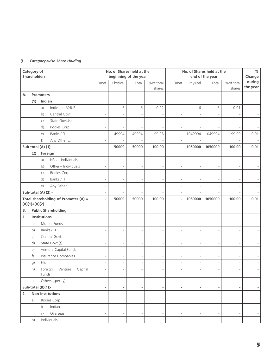### *i) Category-wise Share Holding*

| Category of<br><b>Shareholders</b> |                 |                                        | No. of Shares held at the<br>beginning of the year |                              |                          | No. of Shares held at the<br>end of the year |                          |                              |                          | $\%$<br>Change           |                          |
|------------------------------------|-----------------|----------------------------------------|----------------------------------------------------|------------------------------|--------------------------|----------------------------------------------|--------------------------|------------------------------|--------------------------|--------------------------|--------------------------|
|                                    |                 |                                        | Dmat                                               | Physical                     | Total                    | %of total<br>shares                          | Dmat                     | Physical                     | Total                    | %of total<br>shares      | during<br>the year       |
| А.                                 |                 | <b>Promoters</b>                       |                                                    |                              |                          |                                              |                          |                              |                          |                          |                          |
|                                    | (1)             | Indian                                 |                                                    |                              |                          |                                              |                          |                              |                          |                          |                          |
|                                    |                 | Individual*/HUF<br>a)                  | $\overline{\phantom{a}}$                           | 6                            | 6                        | 0.02                                         | $\overline{a}$           | 6                            | 6                        | 0.01                     |                          |
|                                    |                 | Central Govt.<br>b)                    | $\qquad \qquad \blacksquare$                       | ٠                            |                          | ÷,                                           | $\overline{\phantom{0}}$ |                              |                          |                          |                          |
|                                    |                 | State Govt.(s)<br>$\mathsf{C}$ )       | $\overline{a}$                                     |                              |                          |                                              |                          |                              |                          |                          |                          |
|                                    |                 | d)<br>Bodies Corp.                     | $\overline{\phantom{a}}$                           |                              |                          |                                              | $\overline{\phantom{0}}$ |                              |                          |                          |                          |
|                                    |                 | Banks / Fl<br>e)                       | $\qquad \qquad \blacksquare$                       | 49994                        | 49994                    | 99.98                                        | $\overline{\phantom{a}}$ | 1049994                      | 1049994                  | 99.99                    | 0.01                     |
|                                    |                 | f)<br>Any Other                        | $\overline{a}$                                     |                              |                          |                                              |                          |                              |                          |                          |                          |
|                                    |                 | Sub-total (A) (1):-                    | $\blacksquare$                                     | 50000                        | 50000                    | 100.00                                       | $\overline{\phantom{a}}$ | 1050000                      | 1050000                  | 100.00                   | 0.01                     |
|                                    | (2)             | Foreign                                |                                                    |                              |                          |                                              |                          |                              |                          |                          |                          |
|                                    |                 | NRIs - Individuals<br>a)               | $\overline{a}$                                     |                              |                          | $\overline{a}$                               | $\overline{\phantom{0}}$ |                              |                          |                          |                          |
|                                    |                 | Other - Individuals<br>b)              | $\overline{\phantom{a}}$                           |                              |                          | L,                                           | $\overline{a}$           |                              |                          |                          | $\overline{\phantom{0}}$ |
|                                    |                 | $\mathsf{C}$ )<br>Bodies Corp.         | $\qquad \qquad \blacksquare$                       | $\overline{a}$               | $\overline{a}$           | $\overline{\phantom{a}}$                     | $\overline{\phantom{a}}$ |                              |                          | L,                       |                          |
|                                    |                 | Banks / Fl<br>d)                       | $\overline{a}$                                     |                              |                          | ÷,                                           |                          |                              |                          |                          |                          |
|                                    |                 | Any Other<br>e)                        | $\overline{\phantom{a}}$                           |                              |                          | L,                                           | ÷,                       |                              |                          |                          |                          |
|                                    |                 | Sub-total (A) (2):-                    | $\overline{\phantom{m}}$                           |                              |                          |                                              | $\overline{\phantom{a}}$ |                              |                          |                          |                          |
|                                    | $(A)(1)+(A)(2)$ | Total shareholding of Promoter $(A)$ = | ÷,                                                 | 50000                        | 50000                    | 100.00                                       | $\blacksquare$           | 1050000                      | 1050000                  | 100.00                   | 0.01                     |
| В.                                 |                 | <b>Public Shareholding</b>             |                                                    |                              |                          |                                              |                          |                              |                          |                          |                          |
| 1.                                 |                 | Institutions                           |                                                    |                              |                          |                                              |                          |                              |                          |                          |                          |
|                                    | a)              | Mutual Funds                           | $\overline{a}$                                     | $\overline{\phantom{0}}$     |                          | $\overline{a}$                               | $\overline{a}$           |                              |                          |                          |                          |
|                                    | b)              | Banks / Fl                             | $\overline{\phantom{a}}$                           | $\overline{\phantom{a}}$     | $\overline{\phantom{m}}$ | $\overline{\phantom{a}}$                     | $\overline{\phantom{a}}$ | $\overline{a}$               |                          | $\overline{\phantom{a}}$ |                          |
|                                    | $\mathsf{C}$ )  | Central Govt.                          | $\overline{a}$                                     | $\overline{\phantom{0}}$     |                          | $\overline{a}$                               | $\overline{a}$           |                              |                          |                          | $\overline{\phantom{0}}$ |
|                                    | d)              | State Govt.(s)                         | $\overline{\phantom{a}}$                           | L,                           | L,                       | ÷,                                           | $\overline{a}$           |                              |                          |                          |                          |
|                                    | e)              | Venture Capital Funds                  | $\overline{\phantom{a}}$                           | $\overline{\phantom{a}}$     | $\overline{\phantom{a}}$ | $\overline{\phantom{a}}$                     | $\overline{\phantom{a}}$ | $\overline{\phantom{a}}$     | $\overline{\phantom{a}}$ | L,                       | $\overline{\phantom{0}}$ |
|                                    | f)              | Insurance Companies                    |                                                    |                              |                          |                                              |                          |                              |                          |                          |                          |
|                                    | g)              | FIIs                                   |                                                    |                              |                          | L,                                           |                          |                              |                          |                          |                          |
|                                    | h)              | Foreign<br>Venture<br>Capital<br>Funds | $\overline{a}$                                     |                              |                          |                                              |                          |                              |                          |                          |                          |
|                                    | $\mathsf{i}$    | Others (specify)                       | $\qquad \qquad \blacksquare$                       | $\qquad \qquad \blacksquare$ |                          | $\overline{\phantom{a}}$                     | $\overline{\phantom{a}}$ | $\overline{a}$               |                          | $\overline{a}$           | $\overline{\phantom{a}}$ |
|                                    |                 | Sub-total (B)(1):-                     | $\overline{\phantom{m}}$                           | $\overline{\phantom{a}}$     | $\overline{\phantom{a}}$ | $\overline{\phantom{a}}$                     | $\overline{\phantom{a}}$ | $\overline{\phantom{a}}$     | $\overline{\phantom{a}}$ | $\overline{\phantom{a}}$ | ٠                        |
| 2.                                 |                 | <b>Non-Institutions</b>                |                                                    |                              |                          |                                              |                          |                              |                          |                          |                          |
|                                    | a)              | Bodies Corp.                           |                                                    |                              |                          |                                              |                          |                              |                          |                          |                          |
|                                    |                 | i)<br>Indian                           | $\qquad \qquad \blacksquare$                       | $\qquad \qquad \blacksquare$ | $\overline{\phantom{a}}$ | $\overline{\phantom{a}}$                     | $\overline{\phantom{a}}$ | $\qquad \qquad \blacksquare$ | $\overline{\phantom{m}}$ | $\overline{\phantom{m}}$ | $\overline{\phantom{a}}$ |
|                                    |                 | $\mathsf{ii}$ )<br>Overseas            | $\overline{a}$                                     | $\qquad \qquad \blacksquare$ |                          | $\overline{a}$                               | $\overline{\phantom{0}}$ | $\overline{a}$               |                          |                          | $\overline{\phantom{a}}$ |
|                                    | b)              | Individuals                            |                                                    |                              |                          |                                              |                          |                              |                          |                          |                          |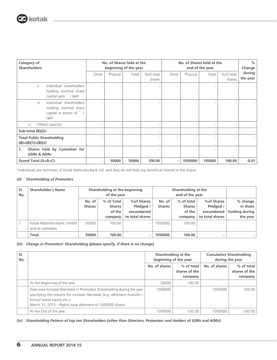| Category of<br><b>Shareholders</b>                                                                      | No. of Shares held at the<br>beginning of the year |                          |       | No. of Shares held at the<br>end of the year |      |          |        | $\%$<br>Change           |                    |
|---------------------------------------------------------------------------------------------------------|----------------------------------------------------|--------------------------|-------|----------------------------------------------|------|----------|--------|--------------------------|--------------------|
|                                                                                                         | Dmat                                               | Physical                 | Total | %of total<br>shares                          | Dmat | Physical | Total  | %of total<br>shares      | during<br>the year |
| $\mathsf{i}$<br>Individual shareholders<br>holding nominal share<br>capital upto ` 1 lakh               |                                                    |                          |       |                                              |      |          |        |                          |                    |
| $\overline{ii}$<br>Individual shareholders<br>holding nominal share<br>capital in excess of ` 1<br>lakh |                                                    |                          |       |                                              |      |          |        |                          |                    |
| Others (specify)<br>$\mathsf{C}$                                                                        | $\overline{\phantom{a}}$                           | ٠                        |       | $\overline{\phantom{a}}$                     | ٠    | ۰        |        |                          |                    |
| Sub-total $(B)(2)$ :-                                                                                   | $\overline{\phantom{a}}$                           | $\overline{\phantom{a}}$ |       | $\overline{\phantom{a}}$                     | ۰    | -        |        | $\overline{\phantom{a}}$ |                    |
| <b>Total Public Shareholding</b><br>$(B)=(B)(1)+(B)(2)$                                                 |                                                    |                          |       |                                              |      |          |        |                          |                    |
| Shares held by Custodian for<br>C.<br><b>GDRs &amp; ADRs</b>                                            | $\overline{\phantom{a}}$                           |                          |       |                                              |      |          |        |                          |                    |
| Grand Total (A+B+C)                                                                                     | $\overline{a}$                                     | 50000                    | 50000 | 100.00                                       |      | 1050000  | 105000 | 100.00                   | 0.01               |

\*Individuals are nominees of Kotak Mahindra Bank Ltd. and they do not hold any beneficial interest in the shares.

<u> 1989 - Johann Stoff, fransk politik (d. 1989)</u>

### *(ii) Shareholding of Promoters*

| <b>SI</b><br>No. | <b>Shareholder's Name</b>                       | Shareholding at the beginning<br>of the year |                                                  |                                                           |                         | Shareholding at the<br>end of the year           |                                                           |                                                    |
|------------------|-------------------------------------------------|----------------------------------------------|--------------------------------------------------|-----------------------------------------------------------|-------------------------|--------------------------------------------------|-----------------------------------------------------------|----------------------------------------------------|
|                  |                                                 | No. of<br><b>Shares</b>                      | % of Total<br><b>Shares</b><br>of the<br>company | % of Shares<br>Pledged /<br>encumbered<br>to total shares | No. of<br><b>Shares</b> | % of total<br><b>Shares</b><br>of the<br>company | % of Shares<br>Pledged /<br>encumbered<br>to total shares | % change<br>in share<br>holding during<br>the year |
|                  | Kotak Mahindra Bank Limited<br>and its nominees | 50000                                        | 100.00                                           | $\overline{\phantom{a}}$                                  | 1050000                 | 100.00                                           |                                                           |                                                    |
|                  | <b>Total</b>                                    | 50000                                        | 100.00                                           | ٠                                                         | 1050000                 | 100.00                                           | ٠                                                         |                                                    |

#### *(iii) Change in Promoters' Shareholding (please specify, if there is no change)*

| SI. | No. |                                                                                                                                                                                                                                                |               | Shareholding at the<br>beginning of the year | <b>Cumulative Shareholding</b><br>during the year |                                        |  |
|-----|-----|------------------------------------------------------------------------------------------------------------------------------------------------------------------------------------------------------------------------------------------------|---------------|----------------------------------------------|---------------------------------------------------|----------------------------------------|--|
|     |     |                                                                                                                                                                                                                                                | No. of shares | % of total<br>shares of the<br>company       | No. of shares                                     | % of total<br>shares of the<br>company |  |
|     |     | At the beginning of the year                                                                                                                                                                                                                   | 50000         | 100.00                                       |                                                   |                                        |  |
|     |     | Date wise Increase /Decrease in Promoters Shareholding during the year<br>specifying the reasons for increase /decrease (e.g. allotment /transfer /<br>bonus/ sweat equity etc.):<br>March 31, 2015 - Rights Issue allotment of 1000000 shares | 1000000       |                                              | 1050000                                           | 100.00                                 |  |
|     |     | At the End of the year                                                                                                                                                                                                                         | 1050000       | 100.00                                       | 1050000                                           | 100.00                                 |  |

*(iv) Shareholding Pattern of top ten Shareholders (other than Directors, Promoters and Holders of GDRs and ADRs):*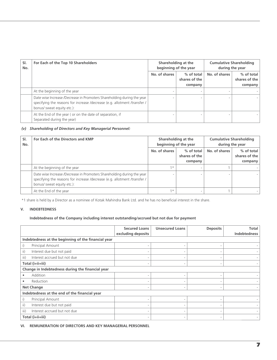| SI.<br>No. | For Each of the Top 10 Shareholders                                                    | Shareholding at the<br>beginning of the year |                                        | <b>Cumulative Shareholding</b><br>during the year |                                        |  |
|------------|----------------------------------------------------------------------------------------|----------------------------------------------|----------------------------------------|---------------------------------------------------|----------------------------------------|--|
|            |                                                                                        | No. of shares                                | % of total<br>shares of the<br>company | No. of shares                                     | % of total<br>shares of the<br>company |  |
|            | At the beginning of the year                                                           |                                              |                                        |                                                   |                                        |  |
|            |                                                                                        |                                              |                                        |                                                   |                                        |  |
|            | Date wise Increase /Decrease in Promoters Shareholding during the year                 |                                              |                                        |                                                   |                                        |  |
|            | specifying the reasons for increase /decrease (e.g. allotment /transfer /              |                                              |                                        |                                                   |                                        |  |
|            | bonus/ sweat equity etc.):                                                             |                                              |                                        |                                                   |                                        |  |
|            | At the End of the year (or on the date of separation, if<br>Separated during the year) |                                              |                                        |                                                   |                                        |  |

### *(v) Shareholding of Directors and Key Managerial Personnel:*

| SI.<br>No. | For Each of the Directors and KMP                                                                                                                                                 | Shareholding at the<br>beginning of the year            |  | <b>Cumulative Shareholding</b><br>during the year |                                          |
|------------|-----------------------------------------------------------------------------------------------------------------------------------------------------------------------------------|---------------------------------------------------------|--|---------------------------------------------------|------------------------------------------|
|            |                                                                                                                                                                                   | No. of shares<br>% of total<br>shares of the<br>company |  | No. of shares                                     | $%$ of total<br>shares of the<br>company |
|            | At the beginning of the year                                                                                                                                                      | $1 *$                                                   |  |                                                   |                                          |
|            | Date wise Increase /Decrease in Promoters Shareholding during the year<br>specifying the reasons for increase /decrease (e.g. allotment /transfer /<br>bonus/ sweat equity etc.): |                                                         |  |                                                   |                                          |
|            | At the End of the year                                                                                                                                                            | $1 *$                                                   |  |                                                   |                                          |

\*1 share is held by a Director as a nominee of Kotak Mahindra Bank Ltd. and he has no beneficial interest in the share.

#### **V. INDEBTEDNESS**

#### **Indebtedness of the Company including interest outstanding/accrued but not due for payment**

|                                                     | <b>Secured Loans</b> | <b>Unsecured Loans</b> | <b>Deposits</b> | Total        |
|-----------------------------------------------------|----------------------|------------------------|-----------------|--------------|
|                                                     | excluding deposits   |                        |                 | Indebtedness |
| Indebtedness at the beginning of the financial year |                      |                        |                 |              |
| i)<br>Principal Amount                              |                      |                        | -               |              |
| $\mathsf{ii}$<br>Interest due but not paid          |                      |                        |                 |              |
| iii)<br>Interest accrued but not due                |                      |                        | ٠               |              |
| Total (i+ii+iii)                                    |                      |                        | ۰               |              |
| Change in Indebtedness during the financial year    |                      |                        |                 |              |
| Addition<br>$\bullet$                               |                      |                        | ۰               |              |
| Reduction<br>$\bullet$                              |                      |                        |                 |              |
| <b>Net Change</b>                                   |                      |                        |                 |              |
| Indebtedness at the end of the financial year       |                      |                        |                 |              |
| $\mathsf{i}$<br>Principal Amount                    |                      |                        |                 |              |
| ii)<br>Interest due but not paid                    |                      |                        |                 |              |
| iii)<br>Interest accrued but not due                |                      |                        | ۰               |              |
| Total (i+ii+iii)                                    |                      |                        |                 |              |

**VI. REMUNERATION OF DIRECTORS AND KEY MANAGERIAL PERSONNEL**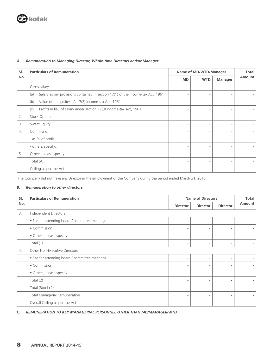| SI. | <b>Particulars of Remuneration</b>                                                     |                              | Name of MD/WTD/Manager   |                |        |
|-----|----------------------------------------------------------------------------------------|------------------------------|--------------------------|----------------|--------|
| No. |                                                                                        | <b>MD</b>                    | <b>WTD</b>               | <b>Manager</b> | Amount |
| 1.  | Gross salary                                                                           | ٠                            | $\overline{\phantom{a}}$ |                |        |
|     | Salary as per provisions contained in section 17(1) of the Income-tax Act, 1961<br>(a) | $\overline{\phantom{0}}$     | $\overline{\phantom{a}}$ |                |        |
|     | Value of perquisites u/s 17(2) Income-tax Act, 1961<br>(b)                             | ٠                            | $\overline{\phantom{a}}$ |                |        |
|     | Profits in lieu of salary under section 17(3) Income-tax Act, 1961<br>(c)              | ۰                            | $\overline{\phantom{a}}$ |                |        |
| 2.  | Stock Option                                                                           | ٠                            | $\overline{\phantom{a}}$ |                |        |
| 3.  | Sweat Equity                                                                           | ٠                            | $\overline{\phantom{a}}$ |                | -      |
| 4.  | Commission                                                                             | ٠                            | $\overline{\phantom{a}}$ |                |        |
|     | - as % of profit                                                                       | $\qquad \qquad \blacksquare$ | $\overline{\phantom{a}}$ |                |        |
|     | - others, specify                                                                      | ٠                            | $\overline{\phantom{a}}$ |                | -      |
| 5.  | Others, please specify                                                                 | ٠                            | $\overline{\phantom{a}}$ |                | -      |
|     | Total (A)                                                                              | ۰                            | $\overline{\phantom{a}}$ |                |        |
|     | Ceiling as per the Act                                                                 | ٠                            | $\overline{\phantom{a}}$ |                |        |

### *A. Remuneration to Managing Director, Whole-time Directors and/or Manager:*

The Company did not have any Director in the employment of the Company during the period ended March 31, 2015.

#### *B. Remuneration to other directors:*

| SI. | <b>Particulars of Remuneration</b>             |                          | <b>Name of Directors</b> |                 |        |
|-----|------------------------------------------------|--------------------------|--------------------------|-----------------|--------|
| No. |                                                | <b>Director</b>          | <b>Director</b>          | <b>Director</b> | Amount |
| 3.  | Independent Directors                          |                          |                          |                 |        |
|     | • Fee for attending board / committee meetings | $\overline{\phantom{a}}$ | ۰                        |                 |        |
|     | • Commission                                   | ۰                        | ۰                        |                 |        |
|     | • Others, please specify                       | $\overline{\phantom{a}}$ | ۰                        |                 |        |
|     | Total $(1)$                                    | $\overline{\phantom{a}}$ | $\overline{a}$           |                 |        |
| 4.  | Other Non-Executive Directors                  |                          |                          |                 |        |
|     | • Fee for attending board / committee meetings | ٠                        | ٠                        |                 |        |
|     | • Commission                                   | $\overline{\phantom{a}}$ | ۰                        |                 |        |
|     | · Others, please specify                       | ۰                        | ۰                        |                 |        |
|     | Total $(2)$                                    | ۰                        | ۰                        |                 |        |
|     | Total $(B)=(1+2)$                              | $\overline{\phantom{a}}$ | ۰                        |                 |        |
|     | Total Managerial Remuneration                  | $\overline{\phantom{a}}$ | ۰                        |                 |        |
|     | Overall Ceiling as per the Act                 | ۰                        | $\overline{\phantom{a}}$ |                 | ۰      |

*C. REMUNERATION TO KEY MANAGERIAL PERSONNEL OTHER THAN MD/MANAGER/WTD*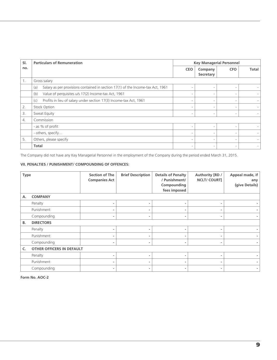| SI.            | <b>Particulars of Remuneration</b>                                                     | <b>Key Managerial Personnel</b> |                          |                          |       |
|----------------|----------------------------------------------------------------------------------------|---------------------------------|--------------------------|--------------------------|-------|
| no.            |                                                                                        | <b>CEO</b>                      | Company                  | <b>CFO</b>               | Total |
|                |                                                                                        |                                 | Secretary                |                          |       |
| 1 <sub>1</sub> | Gross salary                                                                           |                                 |                          |                          |       |
|                | Salary as per provisions contained in section 17(1) of the Income-tax Act, 1961<br>(a) | ۰                               |                          |                          |       |
|                | Value of perquisites u/s 17(2) Income-tax Act, 1961<br>(b)                             | ۰                               |                          |                          |       |
|                | Profits in lieu of salary under section 17(3) Income-tax Act, 1961<br>(c)              | ۰                               |                          |                          |       |
| 2.             | <b>Stock Option</b>                                                                    | ۰                               |                          |                          |       |
| 3.             | Sweat Equity                                                                           | ۰                               | $\overline{\phantom{a}}$ |                          |       |
| 4.             | Commission                                                                             |                                 |                          |                          |       |
|                | - as % of profit                                                                       | ۰                               |                          |                          |       |
|                | - others, specify                                                                      | ۰                               |                          |                          |       |
| 5.             | Others, please specify                                                                 | ۰                               | $\overline{\phantom{a}}$ | $\overline{\phantom{a}}$ |       |
|                | <b>Total</b>                                                                           | ۰                               | $\overline{\phantom{a}}$ |                          |       |

The Company did not have any Key Managerial Personnel in the employment of the Company during the period ended March 31, 2015.

### **VII. PENALTIES / PUNISHMENT/ COMPOUNDING OF OFFENCES:**

| <b>Type</b> |                                  | <b>Section of The</b><br><b>Companies Act</b> | <b>Brief Description</b> | <b>Details of Penalty</b><br>/ Punishment/<br>Compounding<br>fees imposed | Authority [RD /<br><b>NCLT/COURT]</b> | Appeal made, if<br>any<br>(give Details) |
|-------------|----------------------------------|-----------------------------------------------|--------------------------|---------------------------------------------------------------------------|---------------------------------------|------------------------------------------|
| А.          | <b>COMPANY</b>                   |                                               |                          |                                                                           |                                       |                                          |
|             | Penalty                          |                                               |                          | -                                                                         |                                       |                                          |
|             | Punishment                       |                                               |                          | ۰                                                                         |                                       |                                          |
|             | Compounding                      |                                               |                          | -                                                                         |                                       |                                          |
| <b>B.</b>   | <b>DIRECTORS</b>                 |                                               |                          |                                                                           |                                       |                                          |
|             | Penalty                          |                                               | ٠                        | ٠                                                                         |                                       |                                          |
|             | Punishment                       |                                               |                          | ٠                                                                         |                                       |                                          |
|             | Compounding                      | ٠                                             | ٠                        | ٠                                                                         |                                       |                                          |
| C.          | <b>OTHER OFFICERS IN DEFAULT</b> |                                               |                          |                                                                           |                                       |                                          |
|             | Penalty                          |                                               |                          |                                                                           |                                       |                                          |
|             | Punishment                       |                                               | ۰                        | $\overline{\phantom{a}}$                                                  |                                       |                                          |
|             | Compounding                      |                                               |                          |                                                                           |                                       |                                          |

**Form No. AOC-2**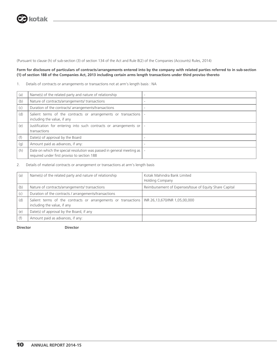(Pursuant to clause (h) of sub-section (3) of section 134 of the Act and Rule 8(2) of the Companies (Accounts) Rules, 2014)

#### **Form for disclosure of particulars of contracts/arrangements entered into by the company with related parties referred to in sub-section (1) of section 188 of the Companies Act, 2013 including certain arms length transactions under third proviso thereto**

1. Details of contracts or arrangements or transactions not at arm's length basis : NA

| (a) | Name(s) of the related party and nature of relationship                                                                | $\overline{\phantom{a}}$ |
|-----|------------------------------------------------------------------------------------------------------------------------|--------------------------|
| (b) | Nature of contracts/arrangements/ transactions                                                                         |                          |
| (C) | Duration of the contracts/ arrangements/transactions                                                                   |                          |
| (d) | Salient terms of the contracts or arrangements or transactions  <br>including the value, if any                        |                          |
| (e) | Justification for entering into such contracts or arrangements or<br>transactions                                      |                          |
| (f) | Date(s) of approval by the Board                                                                                       |                          |
| (g) | Amount paid as advances, if any:                                                                                       |                          |
| (h) | Date on which the special resolution was passed in general meeting as  <br>required under first proviso to section 188 |                          |

2. Details of material contracts or arrangement or transactions at arm's length basis

| (a) | Name(s) of the related party and nature of relationship                                       | Kotak Mahindra Bank Limited<br><b>Holding Company</b>   |
|-----|-----------------------------------------------------------------------------------------------|---------------------------------------------------------|
| (b) | Nature of contracts/arrangements/ transactions                                                | Reimbursement of Expenses/Issue of Equity Share Capital |
| (c) | Duration of the contracts / arrangements/transactions                                         |                                                         |
| (d) | Salient terms of the contracts or arrangements or transactions<br>including the value, if any | INR 26,13,670/INR 1,05,00,000                           |
| (e) | Date(s) of approval by the Board, if any                                                      |                                                         |
| (f) | Amount paid as advances, if any:                                                              |                                                         |

**Director Director**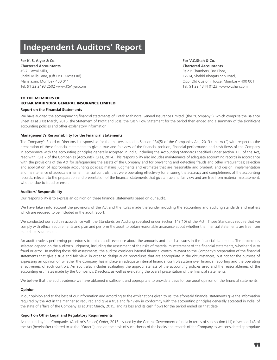# **Independent Auditors' Report**

**For K. S. Aiyar & Co. For V.C.Shah & Co. Chartered Accountants Chartered Accountants** #F-7, Laxmi Mills, Rajgir Chambers, 3rd Floor, Shakti Mills Lane, (Off Dr F. Moses Rd) 12-14, Shahid Bhagatsingh Road,

### **TO THE MEMBERS OF KOTAK MAHINDRA GENERAL INSURANCE LIMITED**

#### **Report on the Financial Statements**

We have audited the accompanying financial statements of Kotak Mahindra General Insurance Limited (the "Company"), which comprise the Balance Sheet as at 31st March, 2015, the Statement of Profit and Loss, the Cash Flow Statement for the period then ended and a summary of the significant accounting policies and other explanatory information.

#### **Management's Responsibility for the Financial Statements**

The Company's Board of Directors is responsible for the matters stated in Section 134(5) of the Companies Act, 2013 ('the Act") with respect to the preparation of these financial statements to give a true and fair view of the financial position, financial performance and cash flows of the Company in accordance with the accounting principles generally accepted in India, including the Accounting Standards specified under section 133 of the Act, read with Rule 7 of the Companies (Accounts) Rules, 2014. This responsibility also includes maintenance of adequate accounting records in accordance with the provisions of the Act for safeguarding the assets of the Company and for preventing and detecting frauds and other irregularities; selection and application of appropriate accounting policies; making judgments and estimates that are reasonable and prudent; and design, implementation and maintenance of adequate internal financial controls, that were operating effectively for ensuring the accuracy and completeness of the accounting records, relevant to the preparation and presentation of the financial statements that give a true and fair view and are free from material misstatement, whether due to fraud or error.

#### **Auditors' Responsibility**

Our responsibility is to express an opinion on these financial statements based on our audit.

We have taken into account the provisions of the Act and the Rules made thereunder including the accounting and auditing standards and matters which are required to be included in the audit report.

We conducted our audit in accordance with the Standards on Auditing specified under Section 143(10) of the Act. Those Standards require that we comply with ethical requirements and plan and perform the audit to obtain reasonable assurance about whether the financial statements are free from material misstatement.

An audit involves performing procedures to obtain audit evidence about the amounts and the disclosures in the financial statements. The procedures selected depend on the auditor's judgment, including the assessment of the risks of material misstatement of the financial statements, whether due to fraud or error. In making those risk assessments, the auditor considers internal financial control relevant to the Company's preparation of the financial statements that give a true and fair view, in order to design audit procedures that are appropriate in the circumstances, but not for the purpose of expressing an opinion on whether the Company has in place an adequate internal financial controls system over financial reporting and the operating effectiveness of such controls. An audit also includes evaluating the appropriateness of the accounting policies used and the reasonableness of the accounting estimates made by the Company's Directors, as well as evaluating the overall presentation of the financial statements.

We believe that the audit evidence we have obtained is sufficient and appropriate to provide a basis for our audit opinion on the financial statements.

#### **Opinion**

In our opinion and to the best of our information and according to the explanations given to us, the aforesaid financial statements give the information required by the Act in the manner so required and give a true and fair view in conformity with the accounting principles generally accepted in India, of the state of affairs of the Company as at 31st March, 2015, and its loss and its cash flows for the period ended on that date.

#### **Report on Other Legal and Regulatory Requirements**

As required by 'the Companies (Auditor's Report) Order, 2015', issued by the Central Government of India in terms of sub-section (11) of section 143 of the Act (hereinafter referred to as the "Order"), and on the basis of such checks of the books and records of the Company as we considered appropriate

Mahalaxmi, Mumbai- 400 011 Opp. Old Custom House, Mumbai – 400 001 Tel: 91 22 2493 2502 www.KSAiyar.com Tel: 91 22 4344 0123 www.vcshah.com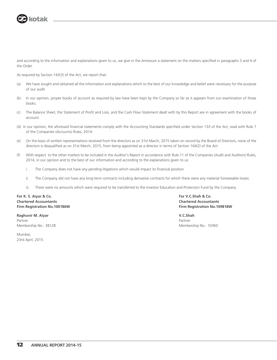

and according to the information and explanations given to us, we give in the Annexure a statement on the matters specified in paragraphs 3 and 4 of the Order.

As required by Section 143(3) of the Act, we report that:

- (a) We have sought and obtained all the information and explanations which to the best of our knowledge and belief were necessary for the purpose of our audit.
- (b) In our opinion, proper books of account as required by law have been kept by the Company so far as it appears from our examination of those books.
- (c) The Balance Sheet, the Statement of Profit and Loss, and the Cash Flow Statement dealt with by this Report are in agreement with the books of account.
- (d) In our opinion, the aforesaid financial statements comply with the Accounting Standards specified under Section 133 of the Act, read with Rule 7 of the Companies (Accounts) Rules, 2014.
- (e) On the basis of written representations received from the directors as on 31st March, 2015 taken on record by the Board of Directors, none of the directors is disqualified as on 31st March, 2015, from being appointed as a director in terms of Section 164(2) of the Act.
- (f) With respect to the other matters to be included in the Auditor's Report in accordance with Rule 11 of the Companies (Audit and Auditors) Rules, 2014, in our opinion and to the best of our information and according to the explanations given to us:
	- i. The Company does not have any pending litigations which would impact its financial position
	- ii. The Company did not have any long-term contracts including derivative contracts for which there were any material foreseeable losses.
	- iii. There were no amounts which were required to be transferred to the Investor Education and Protection Fund by the Company.

**For K. S. Aiyar & Co. For V.C.Shah & Co. Chartered Accountants Chartered Accountants Firm Registration No.100186W Firm Registration No.109818W**

**Raghuvir M. Aiyar V.C.Shah** Partner Partner

Mumbai, 23rd April, 2015.

Membership No.: 38128 Membership No.: 10360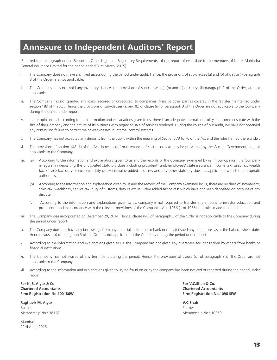# **Annexure to Independent Auditors' Report**

(Referred to in paragraph under 'Report on Other Legal and Regulatory Requirements' of our report of even date to the members of Kotak Mahindra General Insurance Limited for the period ended 31st March, 2015)

- i. The Company does not have any fixed assets during the period under audit. Hence, the provisions of sub-clauses (a) and (b) of clause (i) paragraph 3 of the Order, are not applicable.
- ii. The Company does not hold any inventory. Hence, the provisions of sub-clauses (a), (b) and (c) of clause (ii) paragraph 3 of the Order, are not applicable.
- iii. The Company has not granted any loans, secured or unsecured, to companies, firms or other parties covered in the register maintained under section 189 of the Act. Hence the provisions of sub-clauses (a) and (b) of clause (iii) of paragraph 3 of the Order are not applicable to the Company during the period under report.
- iv. In our opinion and according to the information and explanations given to us, there is an adequate internal control system commensurate with the size of the Company and the nature of its business with regard to sale of services rendered. During the course of our audit, we have not observed any continuing failure to correct major weaknesses in internal control systems.
- v. The Company has not accepted any deposits from the public within the meaning of Sections 73 to 76 of the Act and the rules framed there under.
- vi. The provisions of section 148 (1) of the Act, in respect of maintenance of cost records as may be prescribed by the Central Government, are not applicable to the Company.
- vii. (a) According to the information and explanations given to us and the records of the Company examined by us, in our opinion, the Company is regular in depositing the undisputed statutory dues including provident fund, employees' state insurance, income tax, sales tax, wealth tax, service tax, duty of customs, duty of excise, value added tax, cess and any other statutory dues, as applicable, with the appropriate authorities.
	- (b) According to the information and explanations given to us and the records of the Company examined by us, there are no dues of income-tax, sales-tax, wealth tax, service tax, duty of customs, duty of excise, value added tax or cess which have not been deposited on account of any dispute.
	- (c) According to the information and explanations given to us, company is not required to transfer any amount to investor education and protection fund in accordance with the relevant provisions of the Companies Act, 1956 (1 of 1956) and rules made thereunder.
- viii. The Company was incorporated on December 20, 2014. Hence, clause (viii) of paragraph 3 of the Order is not applicable to the Company during the period under report.
- ix. The Company does not have any borrowings from any financial institution or bank nor has it issued any debentures as at the balance sheet date. Hence, clause (ix) of paragraph 3 of the Order is not applicable to the Company during the period under report.
- x. According to the information and explanations given to us, the Company has not given any guarantee for loans taken by others from banks or financial institutions.
- xi. The Company has not availed of any term loans during the period. Hence, the provisions of clause (xi) of paragraph 3 of the Order are not applicable to the Company.
- xii. According to the information and explanations given to us, no fraud on or by the company has been noticed or reported during the period under report.

#### **For K. S. Aiyar & Co. For V.C.Shah & Co. Chartered Accountants Chartered Accountants Firm Registration No.100186W Firm Registration No.109818W**

**Raghuvir M. Aiyar V.C.Shah** Partner Partner Membership No.: 38128 Membership No.: 10360

Mumbai, 23rd April, 2015.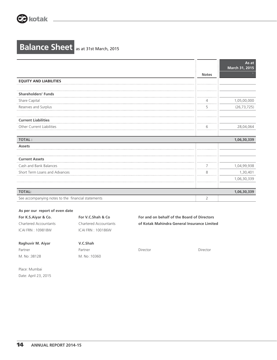

# **Balance Sheet** as at 31st March, 2015

|                                                    |                | As at<br>March 31, 2015 |
|----------------------------------------------------|----------------|-------------------------|
|                                                    | <b>Notes</b>   |                         |
| <b>EQUITY AND LIABILITIES</b>                      |                |                         |
|                                                    |                |                         |
| <b>Shareholders' Funds</b>                         |                |                         |
| Share Capital                                      | 4              | 1,05,00,000             |
| Reserves and Surplus                               | 5              | (26, 73, 725)           |
|                                                    |                |                         |
| <b>Current Liabilities</b>                         |                |                         |
| Other Current Liabilities                          | 6              | 28,04,064               |
|                                                    |                |                         |
| <b>TOTAL:</b>                                      |                | 1,06,30,339             |
| <b>Assets</b>                                      |                |                         |
|                                                    |                |                         |
| <b>Current Assets</b>                              |                |                         |
| Cash and Bank Balances                             | 7              | 1,04,99,938             |
| Short Term Loans and Advances                      | 8              | 1,30,401                |
|                                                    |                | 1,06,30,339             |
|                                                    |                |                         |
| <b>TOTAL:</b>                                      |                | 1,06,30,339             |
| See accompanying notes to the financial statements | $\overline{2}$ |                         |

#### **As per our report of even date**

| For K.S.Aiyar & Co.   | For V.C.Shah & Co     | For and on behalf of the Board of Directors |
|-----------------------|-----------------------|---------------------------------------------|
| Chartered Accountants | Chartered Accountants | of Kotak Mahindra General Insurance Limited |
| ICAI FRN : 109818W    | ICAI FRN : 100186W    |                                             |
|                       |                       |                                             |

**Raghuvir M. Aiyar V.C.Shah**  Partner Partner Partner Partner Director Director Director Director Director M. No :38128 M. No :10360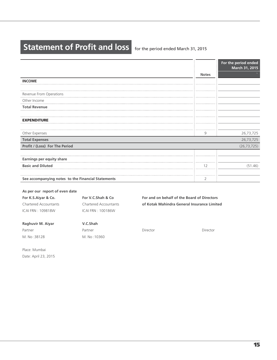# **Statement of Profit and loss** for the period ended March 31, 2015

|                                                    |              | For the period ended<br>March 31, 2015 |
|----------------------------------------------------|--------------|----------------------------------------|
|                                                    | <b>Notes</b> |                                        |
| <b>INCOME</b>                                      |              |                                        |
|                                                    |              |                                        |
| Revenue From Operations                            |              |                                        |
| Other Income                                       |              |                                        |
| <b>Total Revenue</b>                               |              |                                        |
|                                                    |              |                                        |
| <b>EXPENDITURE</b>                                 |              |                                        |
|                                                    |              |                                        |
| Other Expenses                                     | 9            | 26,73,725                              |
| <b>Total Expenses</b>                              |              | 26,73,725                              |
| Profit / (Loss) For The Period                     |              | (26, 73, 725)                          |
|                                                    |              |                                        |
| Earnings per equity share                          |              |                                        |
| <b>Basic and Diluted</b>                           | 12           | (51.46)                                |
|                                                    |              |                                        |
| See accompanying notes to the Financial Statements | 2            |                                        |

#### **As per our report of even date**

ICAI FRN : 109818W ICAI FRN : 100186W

M. No :38128 M. No :10360

**Raghuvir M. Aiyar V.C.Shah**  Partner Partner Partner Partner Director Director Director Director Director

For K.S.Aiyar & Co. **For V.C.Shah & Co For and on behalf of the Board of Directors** Chartered Accountants Chartered Accountants **of Kotak Mahindra General Insurance Limited**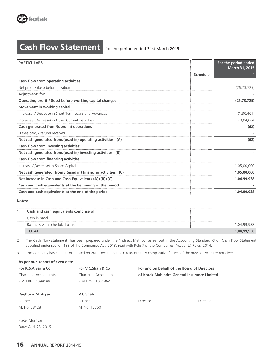

# **Cash Flow Statement** for the period ended 31st March 2015

| <b>PARTICULARS</b>                                           |          | For the period ended<br>March 31, 2015 |
|--------------------------------------------------------------|----------|----------------------------------------|
|                                                              | Schedule |                                        |
| Cash flow from operating activities                          |          |                                        |
| Net profit / (loss) before taxation                          |          | (26, 73, 725)                          |
| Adjustments for:                                             |          |                                        |
| Operating profit / (loss) before working capital changes     |          | (26, 73, 725)                          |
| Movement in working capital :                                |          |                                        |
| (Increase) / Decrease in Short Term Loans and Advances       |          | (1,30,401)                             |
| Increase / (Decrease) in Other Current Liabilities           |          | 28,04,064                              |
| Cash generated from/(used in) operations                     |          | (62)                                   |
| (Taxes paid) / refund received                               |          |                                        |
| Net cash generated from/(used in) operating activities (A)   |          | (62)                                   |
| Cash flow from investing activities:                         |          |                                        |
| Net cash generated from/(used in) investing activities (B)   |          |                                        |
| Cash flow from financing activities:                         |          |                                        |
| Increase /(Decrease) in Share Capital                        |          | 1,05,00,000                            |
| Net cash generated from / (used in) financing activities (C) |          | 1,05,00,000                            |
| Net Increase in Cash and Cash Equivalents (A)+(B)+(C)        |          | 1,04,99,938                            |
| Cash and cash equivalents at the beginning of the period     |          |                                        |
| Cash and cash equivalents at the end of the period           |          | 1,04,99,938                            |
| Notes:                                                       |          |                                        |
| Cash and cash equivalents comprise of                        |          |                                        |
| Cash in hand                                                 |          |                                        |
| Balances with scheduled banks                                |          | 1,04,99,938                            |
| <b>TOTAL</b>                                                 |          | 1,04,99,938                            |

2 The Cash Flow statement has been prepared under the 'Indirect Method' as set out in the Accounting Standard -3 on Cash Flow Statement specified under section 133 of the Companies Act, 2013, read with Rule 7 of the Companies (Accounts) Rules, 2014.

3 The Company has been incorporated on 20th Decemeber, 2014 accordingly comparative figures of the previous year are not given.

| As per our report of even date |                       |                                             |                                             |  |
|--------------------------------|-----------------------|---------------------------------------------|---------------------------------------------|--|
| For K.S.Aivar & Co.            | For V.C.Shah & Co.    | For and on behalf of the Board of Directors |                                             |  |
| <b>Chartered Accountants</b>   | Chartered Accountants |                                             | of Kotak Mahindra General Insurance Limited |  |
| ICAI FRN: 109818W              | ICAI FRN: 100186W     |                                             |                                             |  |
|                                |                       |                                             |                                             |  |
| Raghuvir M. Aiyar              | V.C.Shah              |                                             |                                             |  |
| Partner                        | Partner               | Director                                    | Director                                    |  |
| M. No:38128                    | M. No:10360           |                                             |                                             |  |
|                                |                       |                                             |                                             |  |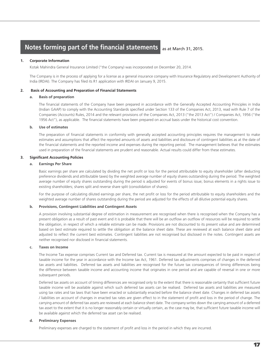#### **1. Corporate Information**

Kotak Mahindra General Insurance Limited ("the Company) was incorporated on December 20, 2014.

 The Company is in the process of applying for a license as a general insurance company with Insurance Regulatory and Development Authority of India (IRDAI). The Company has filed its R1 application with IRDAI on January 9, 2015.

#### **2. Basis of Accounting and Preparation of Financial Statements**

#### **a. Basis of preparation**

 The financial statements of the Company have been prepared in accordance with the Generally Accepted Accounting Principles in India (Indian GAAP) to comply with the Accounting Standards specified under Section 133 of the Companies Act, 2013, read with Rule 7 of the Companies (Accounts) Rules, 2014 and the relevant provisions of the Companies Act, 2013 ("the 2013 Act") / Companies Act, 1956 ("the 1956 Act"), as applicable. The financial statements have been prepared on accrual basis under the historical cost convention.

#### **b. Use of estimates**

 The preparation of financial statements in conformity with generally accepted accounting principles requires the management to make estimates and assumptions that affect the reported amounts of assets and liabilities and disclosure of contingent liabilities as at the date of the financial statements and the reported income and expenses during the reporting period. The management believes that the estimates used in preparation of the financial statements are prudent and reasonable. Actual results could differ from these estimates.

#### **3. Significant Accounting Policies**

#### **a. Earnings Per Share**

 Basic earnings per share are calculated by dividing the net profit or loss for the period attributable to equity shareholder (after deducting preference dividends and attributable taxes) by the weighted average number of equity shares outstanding during the period. The weighted average number of equity shares outstanding during the period is adjusted for events of bonus issue; bonus elements in a rights issue to existing shareholders; shares split and reverse share split (consolidation of shares).

 For the purpose of calculating diluted earnings per share, the net profit or loss for the period attributable to equity shareholders and the weighted average number of shares outstanding during the period are adjusted for the effects of all dilutive potential equity shares.

#### **b. Provisions, Contingent Liabilities and Contingent Assets**

 A provision involving substantial degree of estimation in measurement are recognised when there is recognised when the Company has a present obligation as a result of past event and it is probable that there will be an outflow an outflow of resources will be required to settle the obligation, in respect of which a reliable estimate can be made. Provisions are not discounted to its present value and are determined based on best estimate required to settle the obligation at the balance sheet date. These are reviewed at each balance sheet date and adjusted to reflect the current best estimates. Contingent liabilities are not recognised but disclosed in the notes. Contingent assets are neither recognised nor disclosed in financial statements.

#### **c. Taxes on Income**

 The Income Tax expense comprises Current tax and Deferred tax. Current tax is measured at the amount expected to be paid in respect of taxable income for the year in accordance with the Income tax Act, 1961. Deferred tax adjustments comprises of changes in the deferred tax assets and liabilities. Deferred tax assets and liabilities are recognised for the future tax consequences of timing differences being the difference between taxable income and accounting income that originates in one period and are capable of reversal in one or more subsequent periods.

 Deferred tax assets on account of timing differences are recognised only to the extent that there is reasonable certainty that sufficient future taxable income will be available against which such deferred tax assets can be realised. Deferred tax assets and liabilities are measured using tax rates and tax laws that have been enacted or substantially enacted before the balance sheet date. Changes in deferred tax assets / liabilities on account of changes in enacted tax rates are given effect to in the statement of profit and loss in the period of change. The carrying amount of deferred tax assets are reviewed at each balance sheet date. The company writes down the carrying amount of a deferred tax asset to the extent that it is no longer reasonably certain or virtually certain, as the case may be, that sufficient future taxable income will be available against which the deferred tax asset can be realised.

#### **d. Preliminary Expenses**

Preliminary expenses are charged to the statement of profit and loss in the period in which they are incurred.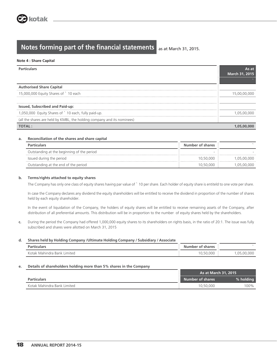#### **Note 4 : Share Capital**

| <b>Particulars</b>                                                      | As at                 |
|-------------------------------------------------------------------------|-----------------------|
|                                                                         | <b>March 31, 2015</b> |
|                                                                         |                       |
| <b>Authorised Share Capital</b>                                         |                       |
| 15,000,000 Equity Shares of `10 each                                    | 15,00,00,000          |
|                                                                         |                       |
| <b>Issued, Subscribed and Paid-up:</b>                                  |                       |
| 1,050,000 Equity Shares of ` 10 each, fully paid-up.                    | 1.05.00.000           |
| (all the shares are held by KMBL, the holding company and its nominees) |                       |
| <b>TOTAL:</b>                                                           | 1.05.00<br>000        |

#### **a. Reconciliation of the shares and share capital**

| <b>Particulars</b>                         | Number of shares |            |
|--------------------------------------------|------------------|------------|
| Outstanding at the beginning of the period |                  |            |
| Issued during the period                   | 10.50.000        | .05.00.000 |
| Outstanding at the end of the period       | 10.50.000        | .05.00.000 |

#### **b. Terms/rights attached to equity shares**

The Company has only one class of equity shares having par value of ` 10 per share. Each holder of equity share is entiteld to one vote per share.

In case the Company declares any dividend the equity shareholders will be entitled to receive the dividend in proportion of the number of shares held by each equity shareholder.

In the event of liquidation of the Company, the holders of equity shares will be entitled to receive remaining assets of the Company, after distribution of all preferential amounts. This distribution will be in proportion to the number of equity shares held by the shareholders.

**c.** During the period the Company had offered 1,000,000 equity shares to its shareholders on rights basis, in the ratio of 20:1. The issue was fully subscribed and shares were allotted on March 31, 2015

#### **d. Shares held by Holding Company /Ultimate Holding Company / Subsidiary / Associate**

| Particulars                         | Number of shares |                |
|-------------------------------------|------------------|----------------|
| Limited<br>Kotak<br>Mahindra Bank ' | 10,50,000        | .000<br>.05.00 |

#### **e. Details of shareholders holding more than 5% shares in the Company**

|                             | As at March 31, 2015 |           |
|-----------------------------|----------------------|-----------|
| <b>Particulars</b>          | Number of shares     | % holding |
| Kotak Mahindra Bank Limited | 10.50.000            | 100%      |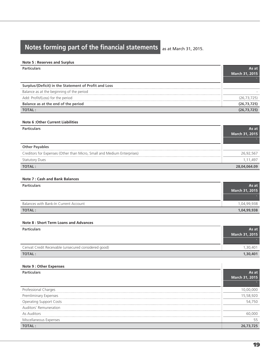#### **Note 5 : Reserves and Surplus**

| <b>Particulars</b> |  |
|--------------------|--|
|                    |  |

| <b>Particulars</b>                                    | As at<br>March 31, 2015 |
|-------------------------------------------------------|-------------------------|
|                                                       |                         |
| Surplus/(Deficit) in the Statement of Profit and Loss |                         |
| Balance as at the beginning of the period             |                         |
| Add: Profit/(Loss) for the period                     | (26, 73, 725)           |
| Balance as at the end of the period                   | (26, 73, 725)           |
| <b>TOTAL:</b>                                         | (26, 73, 725)           |

#### **Note 6 :Other Current Liabilities**

| <b>Particulars</b>                                                      | As at<br>March 31, 2015 |
|-------------------------------------------------------------------------|-------------------------|
|                                                                         |                         |
| <b>Other Payables</b>                                                   |                         |
| Creditors for Expenses (Other than Micro, Small and Medium Enterprises) | 26,92,567               |
| <b>Statutory Dues</b>                                                   | 1 11 4 9 7              |
| <b>TOTAL:</b><br>28,04,064.09                                           |                         |

### **Note 7 : Cash and Bank Balances**

| <b>Particulars</b>                    | As at<br><b>March 31, 2015</b> |
|---------------------------------------|--------------------------------|
|                                       |                                |
| Balances with Bank-In Current Account | 1,04,99,938                    |
| <b>TOTAL:</b>                         | 1,04,99,938                    |

#### **Note 8 : Short Term Loans and Advances**

| <b>Particulars</b>                                   | As at<br><b>March 31, 2015</b> |
|------------------------------------------------------|--------------------------------|
|                                                      |                                |
| Cenvat Credit Receivable (unsecured considered good) | 1,30,401                       |
| <b>TOTAL:</b>                                        | 1,30,401                       |

| <b>Note 9: Other Expenses</b>  |                |
|--------------------------------|----------------|
| <b>Particulars</b>             | As at          |
|                                | March 31, 2015 |
|                                |                |
| Professional Charges           | 10,00,000      |
| <b>Premliminary Expenses</b>   | 15,58,920      |
| <b>Operating Support Costs</b> | 54,750         |
| Auditors' Remuneration         |                |
| As Auditors                    | 60,000         |
| Miscellaneous Expenses         | 55             |
| <b>TOTAL:</b>                  | 26.73.725      |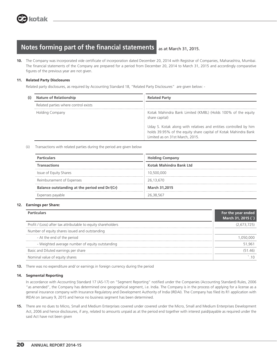**10.** The Company was incorporated vide certificate of incorporation dated December 20, 2014 with Registrar of Companies, Maharashtra, Mumbai. The financial statements of the Company are prepared for a period from December 20, 2014 to March 31, 2015 and accordingly comparative figures of the previous year are not given.

#### **11. Related Party Disclosures**

Related party disclosures, as required by Accounting Standard 18, "Related Party Disclosures" are given below: -

| (i) | <b>Nature of Relationship</b>        | <b>Related Party</b>                                                                                                                                                    |
|-----|--------------------------------------|-------------------------------------------------------------------------------------------------------------------------------------------------------------------------|
|     | Related parties where control exists |                                                                                                                                                                         |
|     | Holding Company                      | Kotak Mahindra Bank Limited (KMBL) (Holds 100% of the equity<br>share capital)                                                                                          |
|     |                                      | Uday S. Kotak along with relatives and entities controlled by him<br>holds 39.95% of the equity share capital of Kotak Mahindra Bank<br>Limited as on 31st March, 2015. |

(ii) Transactions with related parties during the period are given below

| rticulars                                     | <b>Holding Company</b>  |
|-----------------------------------------------|-------------------------|
| <b>Transactions</b>                           | Kotak Mahindra Bank Ltd |
| Issue of Equity Shares                        | 10,500,000              |
| Reimbursement of Expenses                     | 26,13,670               |
| Balance outstanding at the period end Dr/(Cr) | March 31,2015           |
| Expenses payable                              | 26,38.567               |

#### **12. Earnings per Share:**

| rticulars                                                     | For the year ended<br>March 31, 2015 (`) |
|---------------------------------------------------------------|------------------------------------------|
| Profit / (Loss) after tax attributable to equity shareholders | (2.673.725)                              |
| Number of equity shares issued and outstanding                |                                          |
| - At the end of the period                                    |                                          |
| - Weighted average number of equity outstanding               | 51961                                    |
| Basic and Diluted earnings per share                          | (51.46)                                  |
| Nominal value of equity shares                                |                                          |

**13.** There was no expenditure and/ or earnings in foreign currency during the period

#### **14. Segmental Reporting**

 In accordance with Accounting Standard 17 (AS-17) on "Segment Reporting" notified under the Companies (Accounting Standard) Rules, 2006 "as amended", the Company has determined one geographical segment, i.e. India. The Company is in the process of applying for a license as a general insurance company with Insurance Regulatory and Development Authority of India (IRDAI). The Company has filed its R1 application with IRDAI on January 9, 2015 and hence no business segment has been determined.

**15.** There are no dues to Micro, Small and Medium Enterprises covered under covered under the Micro, Small and Medium Enterprises Development Act, 2006 and hence disclosures, if any, related to amounts unpaid as at the period end together with interest paid/payable as required under the said Act have not been given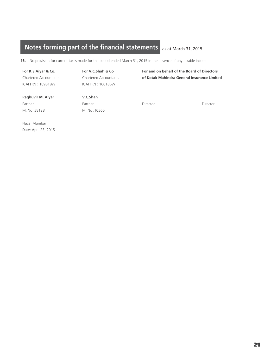**16.** No provision for current tax is made for the period ended March 31, 2015 in the absence of any taxable income

ICAI FRN : 109818W ICAI FRN : 100186W

For K.S.Aiyar & Co. **For V.C.Shah & Co** For and on behalf of the Board of Directors Chartered Accountants Chartered Accountants **of Kotak Mahindra General Insurance Limited**

**Raghuvir M. Aiyar V.C.Shah** 

Partner Partner Partner Partner Director Director Director Director Director M. No :38128 M. No :10360